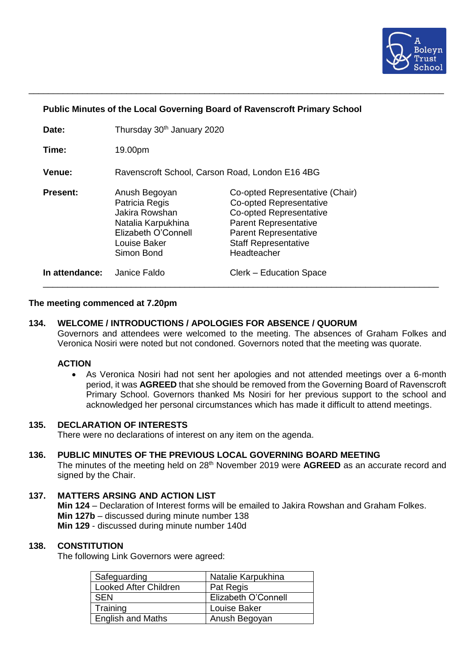

### **Public Minutes of the Local Governing Board of Ravenscroft Primary School**

| Date:           | Thursday 30th January 2020                                                                                                   |                                                                                                                                                                                                                   |
|-----------------|------------------------------------------------------------------------------------------------------------------------------|-------------------------------------------------------------------------------------------------------------------------------------------------------------------------------------------------------------------|
| Time:           | 19.00pm                                                                                                                      |                                                                                                                                                                                                                   |
| <b>Venue:</b>   | Ravenscroft School, Carson Road, London E16 4BG                                                                              |                                                                                                                                                                                                                   |
| <b>Present:</b> | Anush Begoyan<br>Patricia Regis<br>Jakira Rowshan<br>Natalia Karpukhina<br>Elizabeth O'Connell<br>Louise Baker<br>Simon Bond | Co-opted Representative (Chair)<br><b>Co-opted Representative</b><br><b>Co-opted Representative</b><br><b>Parent Representative</b><br><b>Parent Representative</b><br><b>Staff Representative</b><br>Headteacher |
| In attendance:  | Janice Faldo                                                                                                                 | Clerk – Education Space                                                                                                                                                                                           |

\_\_\_\_\_\_\_\_\_\_\_\_\_\_\_\_\_\_\_\_\_\_\_\_\_\_\_\_\_\_\_\_\_\_\_\_\_\_\_\_\_\_\_\_\_\_\_\_\_\_\_\_\_\_\_\_\_\_\_\_\_\_\_\_\_\_\_\_\_\_\_\_\_\_\_\_\_\_\_\_\_\_\_\_\_

### **The meeting commenced at 7.20pm**

## **134. WELCOME / INTRODUCTIONS / APOLOGIES FOR ABSENCE / QUORUM**

Governors and attendees were welcomed to the meeting. The absences of Graham Folkes and Veronica Nosiri were noted but not condoned. Governors noted that the meeting was quorate.

### **ACTION**

• As Veronica Nosiri had not sent her apologies and not attended meetings over a 6-month period, it was **AGREED** that she should be removed from the Governing Board of Ravenscroft Primary School. Governors thanked Ms Nosiri for her previous support to the school and acknowledged her personal circumstances which has made it difficult to attend meetings.

## **135. DECLARATION OF INTERESTS**

There were no declarations of interest on any item on the agenda.

#### **136. PUBLIC MINUTES OF THE PREVIOUS LOCAL GOVERNING BOARD MEETING**

The minutes of the meeting held on 28<sup>th</sup> November 2019 were AGREED as an accurate record and signed by the Chair.

#### **137. MATTERS ARSING AND ACTION LIST**

**Min 124** – Declaration of Interest forms will be emailed to Jakira Rowshan and Graham Folkes. **Min 127b** – discussed during minute number 138 **Min 129** - discussed during minute number 140d

### **138. CONSTITUTION**

The following Link Governors were agreed:

| Safeguarding             | Natalie Karpukhina  |
|--------------------------|---------------------|
| Looked After Children    | Pat Regis           |
| <b>SEN</b>               | Elizabeth O'Connell |
| Training                 | Louise Baker        |
| <b>English and Maths</b> | Anush Begoyan       |
|                          |                     |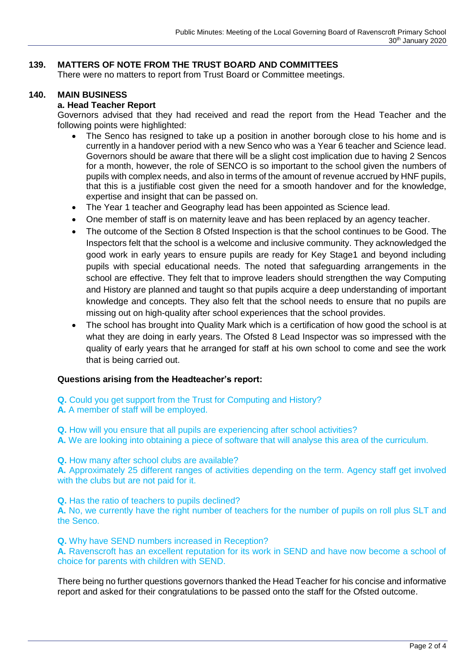# **139. MATTERS OF NOTE FROM THE TRUST BOARD AND COMMITTEES**

There were no matters to report from Trust Board or Committee meetings.

## **140. MAIN BUSINESS**

## **a. Head Teacher Report**

Governors advised that they had received and read the report from the Head Teacher and the following points were highlighted:

- The Senco has resigned to take up a position in another borough close to his home and is currently in a handover period with a new Senco who was a Year 6 teacher and Science lead. Governors should be aware that there will be a slight cost implication due to having 2 Sencos for a month, however, the role of SENCO is so important to the school given the numbers of pupils with complex needs, and also in terms of the amount of revenue accrued by HNF pupils, that this is a justifiable cost given the need for a smooth handover and for the knowledge, expertise and insight that can be passed on.
- The Year 1 teacher and Geography lead has been appointed as Science lead.
- One member of staff is on maternity leave and has been replaced by an agency teacher.
- The outcome of the Section 8 Ofsted Inspection is that the school continues to be Good. The Inspectors felt that the school is a welcome and inclusive community. They acknowledged the good work in early years to ensure pupils are ready for Key Stage1 and beyond including pupils with special educational needs. The noted that safeguarding arrangements in the school are effective. They felt that to improve leaders should strengthen the way Computing and History are planned and taught so that pupils acquire a deep understanding of important knowledge and concepts. They also felt that the school needs to ensure that no pupils are missing out on high-quality after school experiences that the school provides.
- The school has brought into Quality Mark which is a certification of how good the school is at what they are doing in early years. The Ofsted 8 Lead Inspector was so impressed with the quality of early years that he arranged for staff at his own school to come and see the work that is being carried out.

## **Questions arising from the Headteacher's report:**

- **Q.** Could you get support from the Trust for Computing and History?
- **A.** A member of staff will be employed.

**Q.** How will you ensure that all pupils are experiencing after school activities?

**A.** We are looking into obtaining a piece of software that will analyse this area of the curriculum.

**Q.** How many after school clubs are available?

**A.** Approximately 25 different ranges of activities depending on the term. Agency staff get involved with the clubs but are not paid for it.

**Q.** Has the ratio of teachers to pupils declined?

**A.** No, we currently have the right number of teachers for the number of pupils on roll plus SLT and the Senco.

**Q.** Why have SEND numbers increased in Reception?

**A.** Ravenscroft has an excellent reputation for its work in SEND and have now become a school of choice for parents with children with SEND.

There being no further questions governors thanked the Head Teacher for his concise and informative report and asked for their congratulations to be passed onto the staff for the Ofsted outcome.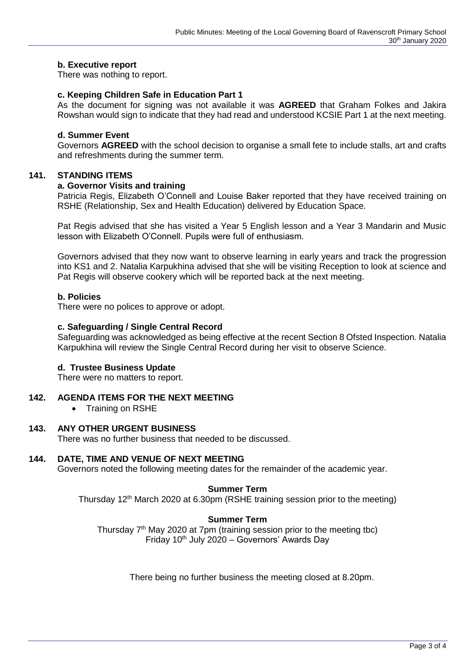### **b. Executive report**

There was nothing to report.

### **c. Keeping Children Safe in Education Part 1**

As the document for signing was not available it was **AGREED** that Graham Folkes and Jakira Rowshan would sign to indicate that they had read and understood KCSIE Part 1 at the next meeting.

## **d. Summer Event**

Governors **AGREED** with the school decision to organise a small fete to include stalls, art and crafts and refreshments during the summer term.

#### **141. STANDING ITEMS**

#### **a. Governor Visits and training**

Patricia Regis, Elizabeth O'Connell and Louise Baker reported that they have received training on RSHE (Relationship, Sex and Health Education) delivered by Education Space.

Pat Regis advised that she has visited a Year 5 English lesson and a Year 3 Mandarin and Music lesson with Elizabeth O'Connell. Pupils were full of enthusiasm.

Governors advised that they now want to observe learning in early years and track the progression into KS1 and 2. Natalia Karpukhina advised that she will be visiting Reception to look at science and Pat Regis will observe cookery which will be reported back at the next meeting.

### **b. Policies**

There were no polices to approve or adopt.

### **c. Safeguarding / Single Central Record**

Safeguarding was acknowledged as being effective at the recent Section 8 Ofsted Inspection. Natalia Karpukhina will review the Single Central Record during her visit to observe Science.

## **d. Trustee Business Update**

There were no matters to report.

### **142. AGENDA ITEMS FOR THE NEXT MEETING**

• Training on RSHE

#### **143. ANY OTHER URGENT BUSINESS**

There was no further business that needed to be discussed.

## **144. DATE, TIME AND VENUE OF NEXT MEETING**

Governors noted the following meeting dates for the remainder of the academic year.

#### **Summer Term**

Thursday 12<sup>th</sup> March 2020 at 6.30pm (RSHE training session prior to the meeting)

#### **Summer Term**

Thursday 7<sup>th</sup> May 2020 at 7pm (training session prior to the meeting tbc) Friday 10<sup>th</sup> July 2020 - Governors' Awards Day

There being no further business the meeting closed at 8.20pm.